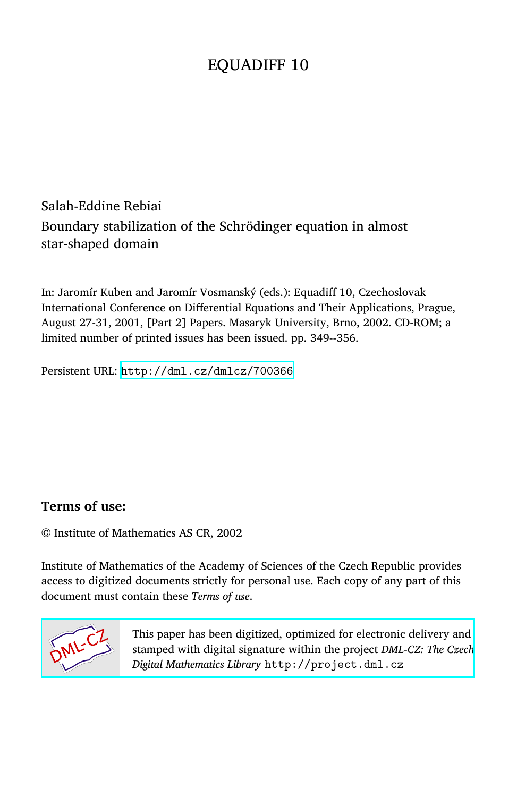## Salah-Eddine Rebiai Boundary stabilization of the Schrödinger equation in almost star-shaped domain

In: Jaromír Kuben and Jaromír Vosmanský (eds.): Equadiff 10, Czechoslovak International Conference on Differential Equations and Their Applications, Prague, August 27-31, 2001, [Part 2] Papers. Masaryk University, Brno, 2002. CD-ROM; a limited number of printed issues has been issued. pp. 349--356.

Persistent URL: <http://dml.cz/dmlcz/700366>

### **Terms of use:**

© Institute of Mathematics AS CR, 2002

Institute of Mathematics of the Academy of Sciences of the Czech Republic provides access to digitized documents strictly for personal use. Each copy of any part of this document must contain these *Terms of use*.



[This paper has been digitized, optimized for electronic delivery and](http://project.dml.cz) stamped with digital signature within the project *DML-CZ: The Czech Digital Mathematics Library* http://project.dml.cz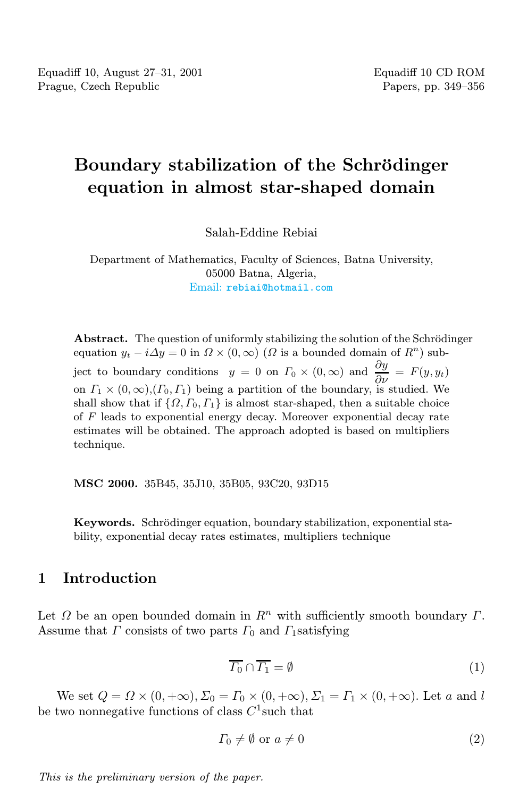# Boundary stabilization of the Schrödinger equation in almost star-shaped domain

Salah-Eddine Rebiai

Department of Mathematics, Faculty of Sciences, Batna University, 05000 Batna, Algeria, Email: [rebiai@hotmail.com](mailto:rebiai@hotmail.com)

Abstract. The question of uniformly stabilizing the solution of the Schrödinger equation  $y_t - i\Delta y = 0$  in  $\Omega \times (0, \infty)$  ( $\Omega$  is a bounded domain of  $R^n$ ) subject to boundary conditions  $y = 0$  on  $\Gamma_0 \times (0, \infty)$  and  $\frac{\partial y}{\partial \nu} = F(y, y_t)$ on  $\Gamma_1 \times (0, \infty), (\Gamma_0, \Gamma_1)$  being a partition of the boundary, is studied. We shall show that if  $\{\Omega, \Gamma_0, \Gamma_1\}$  is almost star-shaped, then a suitable choice of F leads to exponential energy decay. Moreover exponential decay rate estimates will be obtained. The approach adopted is based on multipliers technique.

MSC 2000. 35B45, 35J10, 35B05, 93C20, 93D15

Keywords. Schrödinger equation, boundary stabilization, exponential stability, exponential decay rates estimates, multipliers technique

#### 1 Introduction

<span id="page-1-0"></span>Let  $\Omega$  be an open bounded domain in  $\mathbb{R}^n$  with sufficiently smooth boundary  $\Gamma$ . Assume that  $\Gamma$  consists of two parts  $\Gamma_0$  and  $\Gamma_1$ satisfying

<span id="page-1-1"></span>
$$
\overline{\varGamma_0} \cap \overline{\varGamma_1} = \emptyset \tag{1}
$$

We set  $Q = \Omega \times (0, +\infty)$ ,  $\Sigma_0 = \Gamma_0 \times (0, +\infty)$ ,  $\Sigma_1 = \Gamma_1 \times (0, +\infty)$ . Let a and l be two nonnegative functions of class  $C^1$  such that

$$
\Gamma_0 \neq \emptyset \text{ or } a \neq 0 \tag{2}
$$

This is the preliminary version of the paper.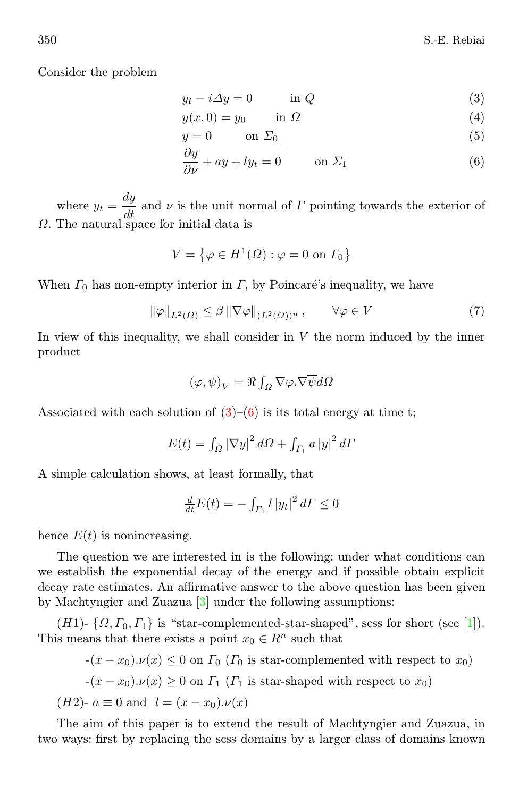<span id="page-2-0"></span>Consider the problem

$$
y_t - i\Delta y = 0 \qquad \text{in } Q \tag{3}
$$

$$
y(x,0) = y_0 \qquad \text{in } \Omega \tag{4}
$$

$$
y = 0 \qquad \text{on } \Sigma_0 \tag{5}
$$

$$
\frac{\partial y}{\partial \nu} + ay + ly_t = 0 \qquad \text{on } \Sigma_1 \tag{6}
$$

where  $y_t = \frac{dy}{dt}$  and  $\nu$  is the unit normal of  $\Gamma$  pointing towards the exterior of Ω. The natural space for initial data is

<span id="page-2-1"></span>
$$
V = \left\{ \varphi \in H^1(\Omega) : \varphi = 0 \text{ on } \Gamma_0 \right\}
$$

When  $\Gamma_0$  has non-empty interior in  $\Gamma$ , by Poincaré's inequality, we have

$$
\|\varphi\|_{L^2(\Omega)} \le \beta \|\nabla \varphi\|_{(L^2(\Omega))^n}, \qquad \forall \varphi \in V \tag{7}
$$

In view of this inequality, we shall consider in  $V$  the norm induced by the inner product

$$
(\varphi, \psi)_V = \Re \int_{\Omega} \nabla \varphi . \nabla \overline{\psi} d\Omega
$$

Associated with each solution of  $(3)-(6)$  $(3)-(6)$  $(3)-(6)$  is its total energy at time t;

$$
E(t) = \int_{\Omega} |\nabla y|^2 d\Omega + \int_{\Gamma_1} a |y|^2 d\Gamma
$$

A simple calculation shows, at least formally, that

$$
\frac{d}{dt}E(t) = -\int_{\Gamma_1} l \, |y_t|^2 \, d\Gamma \le 0
$$

hence  $E(t)$  is nonincreasing.

The question we are interested in is the following: under what conditions can we establish the exponential decay of the energy and if possible obtain explicit decay rate estimates. An affirmative answer to the above question has been given by Machtyngier and Zuazua [\[3\]](#page-8-0) under the following assumptions:

(H1)-  $\{\Omega, \Gamma_0, \Gamma_1\}$  is "star-complemented-star-shaped", scss for short (see [\[1\]](#page-8-1)). This means that there exists a point  $x_0 \in \mathbb{R}^n$  such that

$$
-(x-x_0)\cdot\nu(x) \le 0 \text{ on } \Gamma_0 \text{ (}\Gamma_0 \text{ is star-complemented with respect to } x_0\text{)}
$$

$$
-(x-x_0)\cdot\nu(x) \ge 0 \text{ on } \Gamma_1 \text{ (}\Gamma_1 \text{ is star-shaped with respect to } x_0\text{)}
$$

(*H*2)- 
$$
a \equiv 0
$$
 and  $l = (x - x_0) \cdot \nu(x)$ 

The aim of this paper is to extend the result of Machtyngier and Zuazua, in two ways: first by replacing the scss domains by a larger class of domains known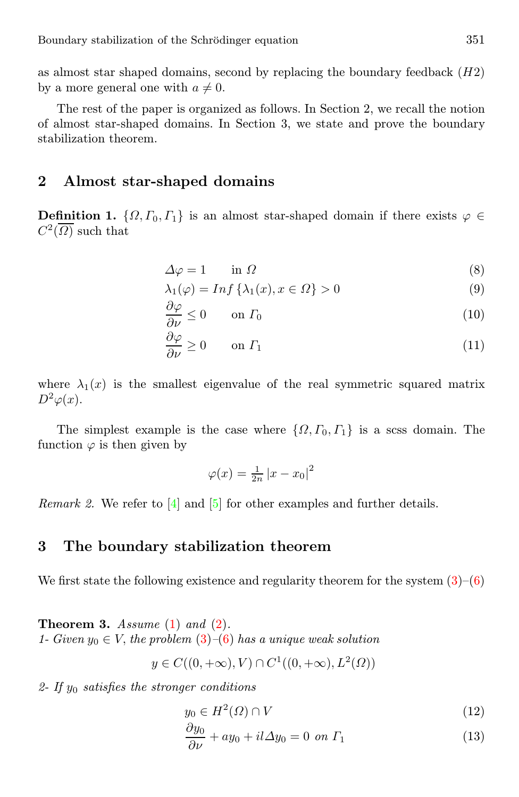as almost star shaped domains, second by replacing the boundary feedback  $(H2)$ by a more general one with  $a \neq 0$ .

The rest of the paper is organized as follows. In Section 2, we recall the notion of almost star-shaped domains. In Section 3, we state and prove the boundary stabilization theorem.

#### 2 Almost star-shaped domains

<span id="page-3-1"></span>**Definition 1.**  $\{\Omega, \Gamma_0, \Gamma_1\}$  is an almost star-shaped domain if there exists  $\varphi \in$  $C^2(\overline{\Omega})$  such that

$$
\Delta \varphi = 1 \qquad \text{in } \Omega \tag{8}
$$

$$
\lambda_1(\varphi) = \text{Inf}\left\{\lambda_1(x), x \in \Omega\right\} > 0\tag{9}
$$

$$
\frac{\partial \varphi}{\partial \nu} \le 0 \qquad \text{on } \Gamma_0 \tag{10}
$$

$$
\frac{\partial \varphi}{\partial \nu} \ge 0 \qquad \text{on } \varGamma_1 \tag{11}
$$

where  $\lambda_1(x)$  is the smallest eigenvalue of the real symmetric squared matrix  $D^2\varphi(x)$ .

The simplest example is the case where  $\{\Omega, \Gamma_0, \Gamma_1\}$  is a scss domain. The function  $\varphi$  is then given by

$$
\varphi(x) = \frac{1}{2n} |x - x_0|^2
$$

*Remark 2.* We refer to  $[4]$  and  $[5]$  for other examples and further details.

#### 3 The boundary stabilization theorem

We first state the following existence and regularity theorem for the system  $(3)-(6)$  $(3)-(6)$  $(3)-(6)$ 

**Theorem 3.** Assume  $(1)$  and  $(2)$ . 1- Given  $y_0 \in V$ , the problem  $(3)$ – $(6)$  has a unique weak solution

$$
y \in C((0, +\infty), V) \cap C^1((0, +\infty), L^2(\Omega))
$$

<span id="page-3-0"></span>2- If  $y_0$  satisfies the stronger conditions

$$
y_0 \in H^2(\Omega) \cap V \tag{12}
$$

$$
\frac{\partial y_0}{\partial \nu} + ay_0 + il \Delta y_0 = 0 \text{ on } \Gamma_1 \tag{13}
$$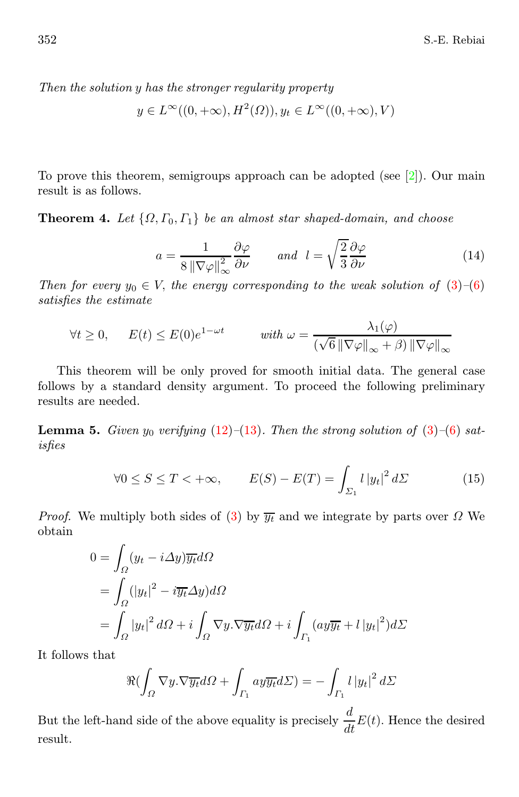Then the solution y has the stronger regularity property

$$
y \in L^{\infty}((0, +\infty), H^2(\Omega)), y_t \in L^{\infty}((0, +\infty), V)
$$

<span id="page-4-2"></span>To prove this theorem, semigroups approach can be adopted (see  $[2]$ ). Our main result is as follows.

<span id="page-4-0"></span>**Theorem 4.** Let  $\{\Omega, \Gamma_0, \Gamma_1\}$  be an almost star shaped-domain, and choose

$$
a = \frac{1}{8 \|\nabla \varphi\|_{\infty}^2} \frac{\partial \varphi}{\partial \nu} \quad \text{and} \quad l = \sqrt{\frac{2}{3}} \frac{\partial \varphi}{\partial \nu} \tag{14}
$$

Then for every  $y_0 \in V$ , the energy corresponding to the weak solution of  $(3)-(6)$  $(3)-(6)$  $(3)-(6)$ satisfies the estimate

$$
\forall t \ge 0, \qquad E(t) \le E(0)e^{1-\omega t} \qquad \text{with } \omega = \frac{\lambda_1(\varphi)}{(\sqrt{6} \|\nabla \varphi\|_{\infty} + \beta) \|\nabla \varphi\|_{\infty}}
$$

This theorem will be only proved for smooth initial data. The general case follows by a standard density argument. To proceed the following preliminary results are needed.

<span id="page-4-1"></span>**Lemma 5.** Given  $y_0$  verifying [\(12\)](#page-3-0)–[\(13\)](#page-3-0). Then the strong solution of [\(3\)](#page-2-0)–[\(6\)](#page-2-0) satisfies

$$
\forall 0 \le S \le T < +\infty, \qquad E(S) - E(T) = \int_{\Sigma_1} l \, |y_t|^2 \, d\Sigma \tag{15}
$$

*Proof.* We multiply both sides of [\(3\)](#page-2-0) by  $\overline{y_t}$  and we integrate by parts over  $\Omega$  We obtain

$$
0 = \int_{\Omega} (y_t - i\Delta y) \overline{y_t} d\Omega
$$
  
= 
$$
\int_{\Omega} (|y_t|^2 - i \overline{y_t} \Delta y) d\Omega
$$
  
= 
$$
\int_{\Omega} |y_t|^2 d\Omega + i \int_{\Omega} \nabla y \cdot \nabla \overline{y_t} d\Omega + i \int_{\Gamma_1} (a y \overline{y_t} + l |y_t|^2) d\Sigma
$$

It follows that

$$
\Re(\int_{\Omega} \nabla y. \nabla \overline{y_t} d\Omega + \int_{\Gamma_1} ay \overline{y_t} d\Sigma) = -\int_{\Gamma_1} l \left| y_t \right|^2 d\Sigma
$$

But the left-hand side of the above equality is precisely  $\frac{d}{dt}E(t)$ . Hence the desired result.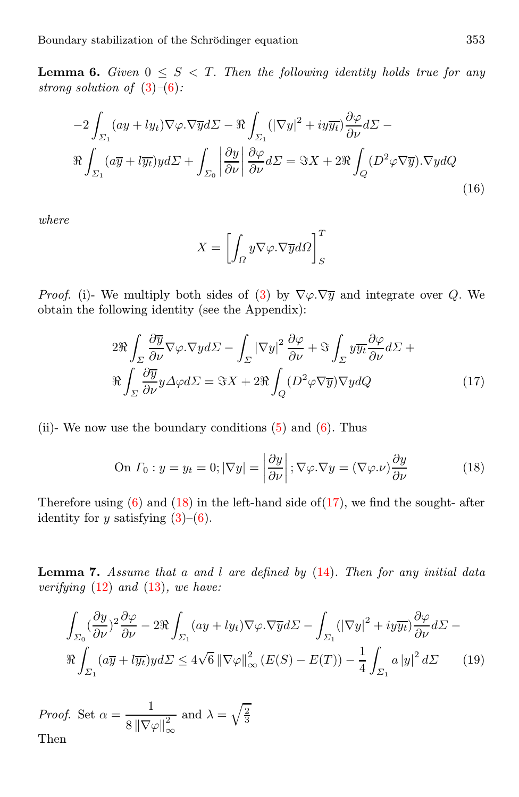<span id="page-5-4"></span>**Lemma 6.** Given  $0 \leq S < T$ . Then the following identity holds true for any strong solution of  $(3)-(6)$  $(3)-(6)$  $(3)-(6)$ :

$$
-2\int_{\Sigma_1} (ay + ly_t)\nabla\varphi \cdot \nabla \overline{y}d\Sigma - \Re \int_{\Sigma_1} (|\nabla y|^2 + iy\overline{y}_t) \frac{\partial \varphi}{\partial \nu} d\Sigma -
$$
  

$$
\Re \int_{\Sigma_1} (a\overline{y} + l\overline{y}_t)yd\Sigma + \int_{\Sigma_0} \left| \frac{\partial y}{\partial \nu} \right| \frac{\partial \varphi}{\partial \nu} d\Sigma = \Im X + 2\Re \int_Q (D^2 \varphi \nabla \overline{y}) \cdot \nabla y dQ
$$
(16)

where

$$
X = \left[ \int_{\Omega} y \nabla \varphi . \nabla \overline{y} d\Omega \right]_{S}^{T}
$$

<span id="page-5-1"></span>*Proof.* (i)- We multiply both sides of [\(3\)](#page-2-0) by  $\nabla \varphi \cdot \nabla \overline{y}$  and integrate over Q. We obtain the following identity (see the Appendix):

$$
2\Re \int_{\Sigma} \frac{\partial \overline{y}}{\partial \nu} \nabla \varphi . \nabla y d\Sigma - \int_{\Sigma} |\nabla y|^2 \frac{\partial \varphi}{\partial \nu} + \Im \int_{\Sigma} y \overline{y_t} \frac{\partial \varphi}{\partial \nu} d\Sigma +
$$
  

$$
\Re \int_{\Sigma} \frac{\partial \overline{y}}{\partial \nu} y \Delta \varphi d\Sigma = \Im X + 2\Re \int_{Q} (D^2 \varphi \nabla \overline{y}) \nabla y dQ \qquad (17)
$$

<span id="page-5-0"></span>(ii)- We now use the boundary conditions  $(5)$  and  $(6)$ . Thus

On 
$$
\Gamma_0: y = y_t = 0; |\nabla y| = \left| \frac{\partial y}{\partial \nu} \right|; \nabla \varphi. \nabla y = (\nabla \varphi. \nu) \frac{\partial y}{\partial \nu}
$$
 (18)

Therefore using  $(6)$  and  $(18)$  in the left-hand side of  $(17)$ , we find the sought- after identity for y satisfying  $(3)-(6)$  $(3)-(6)$  $(3)-(6)$ .

<span id="page-5-3"></span><span id="page-5-2"></span>**Lemma 7.** Assume that a and l are defined by  $(14)$ . Then for any initial data verifying  $(12)$  and  $(13)$ , we have:

$$
\int_{\Sigma_{0}} (\frac{\partial y}{\partial \nu})^{2} \frac{\partial \varphi}{\partial \nu} - 2\Re \int_{\Sigma_{1}} (ay + ly_{t}) \nabla \varphi. \nabla \overline{y} d\Sigma - \int_{\Sigma_{1}} (|\nabla y|^{2} + iy \overline{y_{t}}) \frac{\partial \varphi}{\partial \nu} d\Sigma - \Re \int_{\Sigma_{1}} (a\overline{y} + i\overline{y_{t}}) y d\Sigma \le 4\sqrt{6} \|\nabla \varphi\|_{\infty}^{2} (E(S) - E(T)) - \frac{1}{4} \int_{\Sigma_{1}} a |y|^{2} d\Sigma
$$
 (19)

*Proof.* Set  $\alpha = \frac{1}{\alpha - \frac{1}{\alpha}}$  $8 \left\| \nabla \varphi \right\|_\infty^2$ and  $\lambda = \sqrt{\frac{2}{3}}$ Then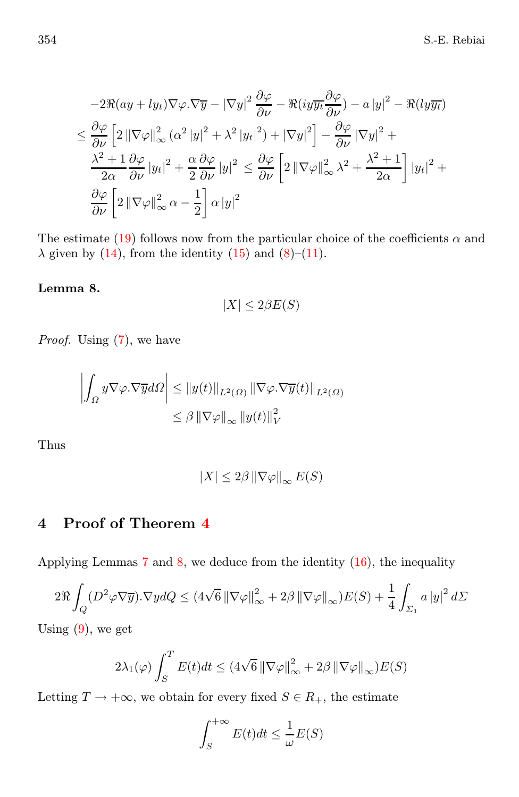$$
-2\Re(ay + ly_t)\nabla\varphi.\nabla\overline{y} - |\nabla y|^2 \frac{\partial\varphi}{\partial\nu} - \Re(iy\overline{y_t}\frac{\partial\varphi}{\partial\nu}) - a|y|^2 - \Re(ly\overline{y_t})
$$
  

$$
\leq \frac{\partial\varphi}{\partial\nu} \left[ 2\left\|\nabla\varphi\right\|_{\infty}^2 (\alpha^2|y|^2 + \lambda^2|y_t|^2) + |\nabla y|^2 \right] - \frac{\partial\varphi}{\partial\nu} |\nabla y|^2 +
$$
  

$$
\frac{\lambda^2 + 1}{2\alpha} \frac{\partial\varphi}{\partial\nu} |y_t|^2 + \frac{\alpha}{2} \frac{\partial\varphi}{\partial\nu} |y|^2 \leq \frac{\partial\varphi}{\partial\nu} \left[ 2\left\|\nabla\varphi\right\|_{\infty}^2 \lambda^2 + \frac{\lambda^2 + 1}{2\alpha} \right] |y_t|^2 +
$$
  

$$
\frac{\partial\varphi}{\partial\nu} \left[ 2\left\|\nabla\varphi\right\|_{\infty}^2 \alpha - \frac{1}{2} \right] \alpha |y|^2
$$

The estimate [\(19\)](#page-5-2) follows now from the particular choice of the coefficients  $\alpha$  and  $\lambda$  given by [\(14\)](#page-4-0), from the identity [\(15\)](#page-4-1) and [\(8\)](#page-3-1)–[\(11\)](#page-3-1).

#### <span id="page-6-0"></span>Lemma 8.

$$
|X| \le 2\beta E(S)
$$

Proof. Using  $(7)$ , we have

$$
\left| \int_{\Omega} y \nabla \varphi \cdot \nabla \overline{y} d\Omega \right| \leq \|y(t)\|_{L^{2}(\Omega)} \left\| \nabla \varphi \cdot \nabla \overline{y}(t) \right\|_{L^{2}(\Omega)} \leq \beta \left\| \nabla \varphi \right\|_{\infty} \left\| y(t) \right\|_{V}^{2}
$$

Thus

$$
|X|\leq 2\beta\left\|\nabla\varphi\right\|_{\infty}E(S)
$$

## 4 Proof of Theorem [4](#page-4-2)

Applying Lemmas  $7$  and  $8$ , we deduce from the identity  $(16)$ , the inequality

$$
2\Re \int_{Q} (D^{2}\varphi\nabla \overline{y})\cdot\nabla y dQ \leq (4\sqrt{6} \left\|\nabla \varphi\right\|_{\infty}^{2} + 2\beta \left\|\nabla \varphi\right\|_{\infty}) E(S) + \frac{1}{4} \int_{\Sigma_{1}} a \left|y\right|^{2} d\Sigma
$$

Using  $(9)$ , we get

$$
2\lambda_1(\varphi)\int_S^T E(t)dt \le (4\sqrt{6} \left\|\nabla\varphi\right\|_{\infty}^2 + 2\beta \left\|\nabla\varphi\right\|_{\infty})E(S)
$$

Letting  $T \to +\infty$ , we obtain for every fixed  $S \in R_+$ , the estimate

$$
\int_{S}^{+\infty} E(t)dt \le \frac{1}{\omega}E(S)
$$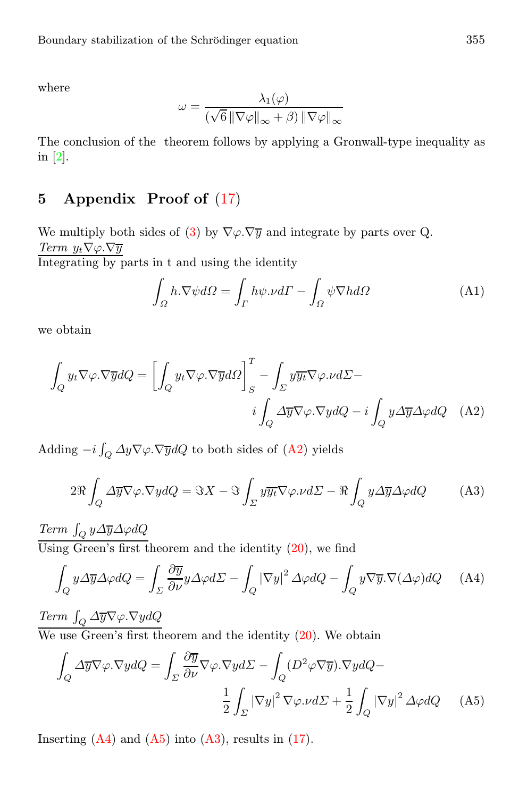where

$$
\omega = \frac{\lambda_1(\varphi)}{(\sqrt{6} \left\| \nabla \varphi \right\|_{\infty} + \beta) \left\| \nabla \varphi \right\|_{\infty}}
$$

The conclusion of the theorem follows by applying a Gronwall-type inequality as in [\[2\]](#page-8-4).

## 5 Appendix Proof of [\(17\)](#page-5-1)

We multiply both sides of [\(3\)](#page-2-0) by  $\nabla \varphi \cdot \nabla \overline{y}$  and integrate by parts over Q. Term  $y_t \nabla \varphi \cdot \nabla \overline{y}$ 

Integrating by parts in t and using the identity

<span id="page-7-4"></span><span id="page-7-1"></span><span id="page-7-0"></span>
$$
\int_{\Omega} h.\nabla \psi d\Omega = \int_{\Gamma} h\psi.\nu d\Gamma - \int_{\Omega} \psi \nabla h d\Omega \tag{A1}
$$

we obtain

$$
\int_{Q} y_{t} \nabla \varphi \cdot \nabla \overline{y} dQ = \left[ \int_{Q} y_{t} \nabla \varphi \cdot \nabla \overline{y} d\Omega \right]_{S}^{T} - \int_{\Sigma} y \overline{y_{t}} \nabla \varphi \cdot \nu d\Sigma - i \int_{Q} y \Delta \overline{y} \Delta \varphi dQ \quad (A2)
$$

Adding  $-i\int_Q \Delta y \nabla \varphi \cdot \nabla \overline{y} dQ$  to both sides of [\(A2\)](#page-7-0) yields

<span id="page-7-2"></span>
$$
2\Re \int_{Q} \Delta \overline{y} \nabla \varphi. \nabla y dQ = \Im X - \Im \int_{\Sigma} y \overline{y_{t}} \nabla \varphi. \nu d\Sigma - \Re \int_{Q} y \Delta \overline{y} \Delta \varphi dQ \tag{A3}
$$

Term  $\int_Q y \Delta \overline{y} \Delta \varphi dQ$ 

Using Green's first theorem and the identity [\(20\)](#page-7-1), we find

$$
\int_{Q} y \Delta \overline{y} \Delta \varphi dQ = \int_{\Sigma} \frac{\partial \overline{y}}{\partial \nu} y \Delta \varphi d\Sigma - \int_{Q} |\nabla y|^{2} \Delta \varphi dQ - \int_{Q} y \nabla \overline{y} . \nabla (\Delta \varphi) dQ \quad (A4)
$$

Term  $\int_Q \Delta \overline{y} \nabla \varphi \cdot \nabla y dQ$ 

We use Green's first theorem and the identity  $(20)$ . We obtain

<span id="page-7-3"></span>
$$
\int_{Q} \Delta \overline{y} \nabla \varphi. \nabla y dQ = \int_{\Sigma} \frac{\partial \overline{y}}{\partial \nu} \nabla \varphi. \nabla y d\Sigma - \int_{Q} (D^{2} \varphi \nabla \overline{y}). \nabla y dQ -
$$
\n
$$
\frac{1}{2} \int_{\Sigma} |\nabla y|^{2} \nabla \varphi. \nu d\Sigma + \frac{1}{2} \int_{Q} |\nabla y|^{2} \Delta \varphi dQ \qquad (A5)
$$

Inserting  $(A4)$  and  $(A5)$  into  $(A3)$ , results in  $(17)$ .